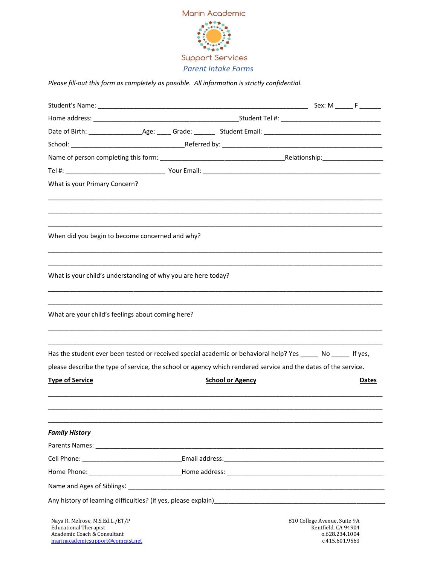

*Please fill-out this form as completely as possible. All information is strictly confidential.* 

| What is your Primary Concern?                                                                                                      |  |  |                         |                                                                                         |  |       |
|------------------------------------------------------------------------------------------------------------------------------------|--|--|-------------------------|-----------------------------------------------------------------------------------------|--|-------|
| When did you begin to become concerned and why?                                                                                    |  |  |                         |                                                                                         |  |       |
| What is your child's understanding of why you are here today?                                                                      |  |  |                         |                                                                                         |  |       |
| What are your child's feelings about coming here?                                                                                  |  |  |                         |                                                                                         |  |       |
| Has the student ever been tested or received special academic or behavioral help? Yes ______ No ______ If yes,                     |  |  |                         |                                                                                         |  |       |
| please describe the type of service, the school or agency which rendered service and the dates of the service.                     |  |  |                         |                                                                                         |  |       |
| <b>Type of Service</b>                                                                                                             |  |  | <b>School or Agency</b> |                                                                                         |  | Dates |
| <b>Family History</b>                                                                                                              |  |  |                         |                                                                                         |  |       |
|                                                                                                                                    |  |  |                         |                                                                                         |  |       |
|                                                                                                                                    |  |  |                         |                                                                                         |  |       |
|                                                                                                                                    |  |  |                         |                                                                                         |  |       |
|                                                                                                                                    |  |  |                         |                                                                                         |  |       |
|                                                                                                                                    |  |  |                         |                                                                                         |  |       |
| Naya R. Melrose, M.S.Ed.L./ET/P<br><b>Educational Therapist</b><br>Academic Coach & Consultant<br>marinacademicsupport@comcast.net |  |  |                         | 810 College Avenue, Suite 9A<br>Kentfield, CA 94904<br>0.628.234.1004<br>c.415.601.9563 |  |       |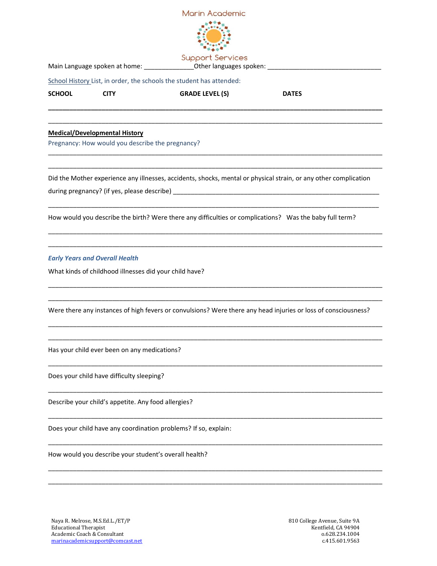

Main Language spoken at home: \_\_\_\_\_\_\_\_\_\_\_\_\_\_Other languages spoken: \_\_\_\_\_\_\_\_\_\_\_\_\_\_\_\_\_\_\_\_\_\_\_\_\_\_\_\_\_\_\_\_

School History List, in order, the schools the student has attended:

**SCHOOL CITY GRADE LEVEL (S) DATES**

**\_\_\_\_\_\_\_\_\_\_\_\_\_\_\_\_\_\_\_\_\_\_\_\_\_\_\_\_\_\_\_\_\_\_\_\_\_\_\_\_\_\_\_\_\_\_\_\_\_\_\_\_\_\_\_\_\_\_\_\_\_\_\_\_\_\_\_\_\_\_\_\_\_\_\_\_\_\_\_\_\_\_\_\_\_\_\_\_\_\_\_\_\_\_** \_\_\_\_\_\_\_\_\_\_\_\_\_\_\_\_\_\_\_\_\_\_\_\_\_\_\_\_\_\_\_\_\_\_\_\_\_\_\_\_\_\_\_\_\_\_\_\_\_\_\_\_\_\_\_\_\_\_\_\_\_\_\_\_\_\_\_\_\_\_\_\_\_\_\_\_\_\_\_\_\_\_\_\_\_\_\_\_\_\_\_\_\_\_

\_\_\_\_\_\_\_\_\_\_\_\_\_\_\_\_\_\_\_\_\_\_\_\_\_\_\_\_\_\_\_\_\_\_\_\_\_\_\_\_\_\_\_\_\_\_\_\_\_\_\_\_\_\_\_\_\_\_\_\_\_\_\_\_\_\_\_\_\_\_\_\_\_\_\_\_\_\_\_\_\_\_\_\_\_\_\_\_\_\_\_\_\_\_ \_\_\_\_\_\_\_\_\_\_\_\_\_\_\_\_\_\_\_\_\_\_\_\_\_\_\_\_\_\_\_\_\_\_\_\_\_\_\_\_\_\_\_\_\_\_\_\_\_\_\_\_\_\_\_\_\_\_\_\_\_\_\_\_\_\_\_\_\_\_\_\_\_\_\_\_\_\_\_\_\_\_\_\_\_\_\_\_\_\_\_\_\_\_

## **Medical/Developmental History**

Pregnancy: How would you describe the pregnancy?

Did the Mother experience any illnesses, accidents, shocks, mental or physical strain, or any other complication

\_\_\_\_\_\_\_\_\_\_\_\_\_\_\_\_\_\_\_\_\_\_\_\_\_\_\_\_\_\_\_\_\_\_\_\_\_\_\_\_\_\_\_\_\_\_\_\_\_\_\_\_\_\_\_\_\_\_\_\_\_\_\_\_\_\_\_\_\_\_\_\_\_\_\_\_\_\_\_\_\_\_\_\_\_\_\_\_\_\_\_\_\_

\_\_\_\_\_\_\_\_\_\_\_\_\_\_\_\_\_\_\_\_\_\_\_\_\_\_\_\_\_\_\_\_\_\_\_\_\_\_\_\_\_\_\_\_\_\_\_\_\_\_\_\_\_\_\_\_\_\_\_\_\_\_\_\_\_\_\_\_\_\_\_\_\_\_\_\_\_\_\_\_\_\_\_\_\_\_\_\_\_\_\_\_\_\_ \_\_\_\_\_\_\_\_\_\_\_\_\_\_\_\_\_\_\_\_\_\_\_\_\_\_\_\_\_\_\_\_\_\_\_\_\_\_\_\_\_\_\_\_\_\_\_\_\_\_\_\_\_\_\_\_\_\_\_\_\_\_\_\_\_\_\_\_\_\_\_\_\_\_\_\_\_\_\_\_\_\_\_\_\_\_\_\_\_\_\_\_\_\_

\_\_\_\_\_\_\_\_\_\_\_\_\_\_\_\_\_\_\_\_\_\_\_\_\_\_\_\_\_\_\_\_\_\_\_\_\_\_\_\_\_\_\_\_\_\_\_\_\_\_\_\_\_\_\_\_\_\_\_\_\_\_\_\_\_\_\_\_\_\_\_\_\_\_\_\_\_\_\_\_\_\_\_\_\_\_\_\_\_\_\_\_\_\_ \_\_\_\_\_\_\_\_\_\_\_\_\_\_\_\_\_\_\_\_\_\_\_\_\_\_\_\_\_\_\_\_\_\_\_\_\_\_\_\_\_\_\_\_\_\_\_\_\_\_\_\_\_\_\_\_\_\_\_\_\_\_\_\_\_\_\_\_\_\_\_\_\_\_\_\_\_\_\_\_\_\_\_\_\_\_\_\_\_\_\_\_\_\_

\_\_\_\_\_\_\_\_\_\_\_\_\_\_\_\_\_\_\_\_\_\_\_\_\_\_\_\_\_\_\_\_\_\_\_\_\_\_\_\_\_\_\_\_\_\_\_\_\_\_\_\_\_\_\_\_\_\_\_\_\_\_\_\_\_\_\_\_\_\_\_\_\_\_\_\_\_\_\_\_\_\_\_\_\_\_\_\_\_\_\_\_\_\_ \_\_\_\_\_\_\_\_\_\_\_\_\_\_\_\_\_\_\_\_\_\_\_\_\_\_\_\_\_\_\_\_\_\_\_\_\_\_\_\_\_\_\_\_\_\_\_\_\_\_\_\_\_\_\_\_\_\_\_\_\_\_\_\_\_\_\_\_\_\_\_\_\_\_\_\_\_\_\_\_\_\_\_\_\_\_\_\_\_\_\_\_\_\_

\_\_\_\_\_\_\_\_\_\_\_\_\_\_\_\_\_\_\_\_\_\_\_\_\_\_\_\_\_\_\_\_\_\_\_\_\_\_\_\_\_\_\_\_\_\_\_\_\_\_\_\_\_\_\_\_\_\_\_\_\_\_\_\_\_\_\_\_\_\_\_\_\_\_\_\_\_\_\_\_\_\_\_\_\_\_\_\_\_\_\_\_\_\_

\_\_\_\_\_\_\_\_\_\_\_\_\_\_\_\_\_\_\_\_\_\_\_\_\_\_\_\_\_\_\_\_\_\_\_\_\_\_\_\_\_\_\_\_\_\_\_\_\_\_\_\_\_\_\_\_\_\_\_\_\_\_\_\_\_\_\_\_\_\_\_\_\_\_\_\_\_\_\_\_\_\_\_\_\_\_\_\_\_\_\_\_\_\_

\_\_\_\_\_\_\_\_\_\_\_\_\_\_\_\_\_\_\_\_\_\_\_\_\_\_\_\_\_\_\_\_\_\_\_\_\_\_\_\_\_\_\_\_\_\_\_\_\_\_\_\_\_\_\_\_\_\_\_\_\_\_\_\_\_\_\_\_\_\_\_\_\_\_\_\_\_\_\_\_\_\_\_\_\_\_\_\_\_\_\_\_\_\_

\_\_\_\_\_\_\_\_\_\_\_\_\_\_\_\_\_\_\_\_\_\_\_\_\_\_\_\_\_\_\_\_\_\_\_\_\_\_\_\_\_\_\_\_\_\_\_\_\_\_\_\_\_\_\_\_\_\_\_\_\_\_\_\_\_\_\_\_\_\_\_\_\_\_\_\_\_\_\_\_\_\_\_\_\_\_\_\_\_\_\_\_\_\_

\_\_\_\_\_\_\_\_\_\_\_\_\_\_\_\_\_\_\_\_\_\_\_\_\_\_\_\_\_\_\_\_\_\_\_\_\_\_\_\_\_\_\_\_\_\_\_\_\_\_\_\_\_\_\_\_\_\_\_\_\_\_\_\_\_\_\_\_\_\_\_\_\_\_\_\_\_\_\_\_\_\_\_\_\_\_\_\_\_\_\_\_\_\_ \_\_\_\_\_\_\_\_\_\_\_\_\_\_\_\_\_\_\_\_\_\_\_\_\_\_\_\_\_\_\_\_\_\_\_\_\_\_\_\_\_\_\_\_\_\_\_\_\_\_\_\_\_\_\_\_\_\_\_\_\_\_\_\_\_\_\_\_\_\_\_\_\_\_\_\_\_\_\_\_\_\_\_\_\_\_\_\_\_\_\_\_\_\_

during pregnancy? (if yes, please describe) \_\_\_\_\_\_\_\_\_\_\_\_\_\_\_\_\_\_\_\_\_\_\_\_\_\_\_\_\_\_\_\_\_\_\_\_\_\_\_\_\_\_\_\_\_\_\_\_\_\_\_\_\_\_\_\_\_\_

How would you describe the birth? Were there any difficulties or complications? Was the baby full term?

## *Early Years and Overall Health*

What kinds of childhood illnesses did your child have?

Were there any instances of high fevers or convulsions? Were there any head injuries or loss of consciousness?

Has your child ever been on any medications?

Does your child have difficulty sleeping?

Describe your child's appetite. Any food allergies?

Does your child have any coordination problems? If so, explain:

How would you describe your student's overall health?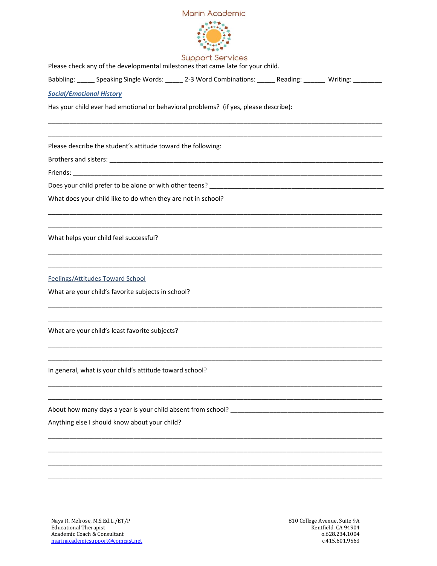



**Support Services** 

Please check any of the developmental milestones that came late for your child. Babbling: \_\_\_\_\_ Speaking Single Words: \_\_\_\_\_ 2-3 Word Combinations: \_\_\_\_\_\_ Reading: \_\_\_\_\_\_ Writing: \_\_\_\_\_\_\_\_ *Social/Emotional History* Has your child ever had emotional or behavioral problems? (if yes, please describe): \_\_\_\_\_\_\_\_\_\_\_\_\_\_\_\_\_\_\_\_\_\_\_\_\_\_\_\_\_\_\_\_\_\_\_\_\_\_\_\_\_\_\_\_\_\_\_\_\_\_\_\_\_\_\_\_\_\_\_\_\_\_\_\_\_\_\_\_\_\_\_\_\_\_\_\_\_\_\_\_\_\_\_\_\_\_\_\_\_\_\_\_\_\_ \_\_\_\_\_\_\_\_\_\_\_\_\_\_\_\_\_\_\_\_\_\_\_\_\_\_\_\_\_\_\_\_\_\_\_\_\_\_\_\_\_\_\_\_\_\_\_\_\_\_\_\_\_\_\_\_\_\_\_\_\_\_\_\_\_\_\_\_\_\_\_\_\_\_\_\_\_\_\_\_\_\_\_\_\_\_\_\_\_\_\_\_\_\_ Please describe the student's attitude toward the following: Brothers and sisters: **Example 20** Friends: \_\_\_\_\_\_\_\_\_\_\_\_\_\_\_\_\_\_\_\_\_\_\_\_\_\_\_\_\_\_\_\_\_\_\_\_\_\_\_\_\_\_\_\_\_\_\_\_\_\_\_\_\_\_\_\_\_\_\_\_\_\_\_\_\_\_\_\_\_\_\_\_\_\_\_\_\_\_\_\_\_\_\_\_\_\_\_ Does your child prefer to be alone or with other teens? \_\_\_\_\_\_\_\_\_\_\_\_\_\_\_\_\_\_\_\_\_\_\_\_ What does your child like to do when they are not in school? \_\_\_\_\_\_\_\_\_\_\_\_\_\_\_\_\_\_\_\_\_\_\_\_\_\_\_\_\_\_\_\_\_\_\_\_\_\_\_\_\_\_\_\_\_\_\_\_\_\_\_\_\_\_\_\_\_\_\_\_\_\_\_\_\_\_\_\_\_\_\_\_\_\_\_\_\_\_\_\_\_\_\_\_\_\_\_\_\_\_\_\_\_\_ \_\_\_\_\_\_\_\_\_\_\_\_\_\_\_\_\_\_\_\_\_\_\_\_\_\_\_\_\_\_\_\_\_\_\_\_\_\_\_\_\_\_\_\_\_\_\_\_\_\_\_\_\_\_\_\_\_\_\_\_\_\_\_\_\_\_\_\_\_\_\_\_\_\_\_\_\_\_\_\_\_\_\_\_\_\_\_\_\_\_\_\_\_\_ What helps your child feel successful? \_\_\_\_\_\_\_\_\_\_\_\_\_\_\_\_\_\_\_\_\_\_\_\_\_\_\_\_\_\_\_\_\_\_\_\_\_\_\_\_\_\_\_\_\_\_\_\_\_\_\_\_\_\_\_\_\_\_\_\_\_\_\_\_\_\_\_\_\_\_\_\_\_\_\_\_\_\_\_\_\_\_\_\_\_\_\_\_\_\_\_\_\_\_ \_\_\_\_\_\_\_\_\_\_\_\_\_\_\_\_\_\_\_\_\_\_\_\_\_\_\_\_\_\_\_\_\_\_\_\_\_\_\_\_\_\_\_\_\_\_\_\_\_\_\_\_\_\_\_\_\_\_\_\_\_\_\_\_\_\_\_\_\_\_\_\_\_\_\_\_\_\_\_\_\_\_\_\_\_\_\_\_\_\_\_\_\_\_ Feelings/Attitudes Toward School What are your child's favorite subjects in school? \_\_\_\_\_\_\_\_\_\_\_\_\_\_\_\_\_\_\_\_\_\_\_\_\_\_\_\_\_\_\_\_\_\_\_\_\_\_\_\_\_\_\_\_\_\_\_\_\_\_\_\_\_\_\_\_\_\_\_\_\_\_\_\_\_\_\_\_\_\_\_\_\_\_\_\_\_\_\_\_\_\_\_\_\_\_\_\_\_\_\_\_\_\_ \_\_\_\_\_\_\_\_\_\_\_\_\_\_\_\_\_\_\_\_\_\_\_\_\_\_\_\_\_\_\_\_\_\_\_\_\_\_\_\_\_\_\_\_\_\_\_\_\_\_\_\_\_\_\_\_\_\_\_\_\_\_\_\_\_\_\_\_\_\_\_\_\_\_\_\_\_\_\_\_\_\_\_\_\_\_\_\_\_\_\_\_\_\_ What are your child's least favorite subjects? \_\_\_\_\_\_\_\_\_\_\_\_\_\_\_\_\_\_\_\_\_\_\_\_\_\_\_\_\_\_\_\_\_\_\_\_\_\_\_\_\_\_\_\_\_\_\_\_\_\_\_\_\_\_\_\_\_\_\_\_\_\_\_\_\_\_\_\_\_\_\_\_\_\_\_\_\_\_\_\_\_\_\_\_\_\_\_\_\_\_\_\_\_\_ \_\_\_\_\_\_\_\_\_\_\_\_\_\_\_\_\_\_\_\_\_\_\_\_\_\_\_\_\_\_\_\_\_\_\_\_\_\_\_\_\_\_\_\_\_\_\_\_\_\_\_\_\_\_\_\_\_\_\_\_\_\_\_\_\_\_\_\_\_\_\_\_\_\_\_\_\_\_\_\_\_\_\_\_\_\_\_\_\_\_\_\_\_\_ In general, what is your child's attitude toward school? \_\_\_\_\_\_\_\_\_\_\_\_\_\_\_\_\_\_\_\_\_\_\_\_\_\_\_\_\_\_\_\_\_\_\_\_\_\_\_\_\_\_\_\_\_\_\_\_\_\_\_\_\_\_\_\_\_\_\_\_\_\_\_\_\_\_\_\_\_\_\_\_\_\_\_\_\_\_\_\_\_\_\_\_\_\_\_\_\_\_\_\_\_\_ \_\_\_\_\_\_\_\_\_\_\_\_\_\_\_\_\_\_\_\_\_\_\_\_\_\_\_\_\_\_\_\_\_\_\_\_\_\_\_\_\_\_\_\_\_\_\_\_\_\_\_\_\_\_\_\_\_\_\_\_\_\_\_\_\_\_\_\_\_\_\_\_\_\_\_\_\_\_\_\_\_\_\_\_\_\_\_\_\_\_\_\_\_\_ About how many days a year is your child absent from school? \_\_\_\_\_\_\_\_\_\_\_\_\_\_\_\_\_\_\_\_\_\_\_\_\_\_\_\_\_\_\_\_\_\_\_\_\_\_\_\_\_\_\_ Anything else I should know about your child? \_\_\_\_\_\_\_\_\_\_\_\_\_\_\_\_\_\_\_\_\_\_\_\_\_\_\_\_\_\_\_\_\_\_\_\_\_\_\_\_\_\_\_\_\_\_\_\_\_\_\_\_\_\_\_\_\_\_\_\_\_\_\_\_\_\_\_\_\_\_\_\_\_\_\_\_\_\_\_\_\_\_\_\_\_\_\_\_\_\_\_\_\_\_ \_\_\_\_\_\_\_\_\_\_\_\_\_\_\_\_\_\_\_\_\_\_\_\_\_\_\_\_\_\_\_\_\_\_\_\_\_\_\_\_\_\_\_\_\_\_\_\_\_\_\_\_\_\_\_\_\_\_\_\_\_\_\_\_\_\_\_\_\_\_\_\_\_\_\_\_\_\_\_\_\_\_\_\_\_\_\_\_\_\_\_\_\_\_ \_\_\_\_\_\_\_\_\_\_\_\_\_\_\_\_\_\_\_\_\_\_\_\_\_\_\_\_\_\_\_\_\_\_\_\_\_\_\_\_\_\_\_\_\_\_\_\_\_\_\_\_\_\_\_\_\_\_\_\_\_\_\_\_\_\_\_\_\_\_\_\_\_\_\_\_\_\_\_\_\_\_\_\_\_\_\_\_\_\_\_\_\_\_ \_\_\_\_\_\_\_\_\_\_\_\_\_\_\_\_\_\_\_\_\_\_\_\_\_\_\_\_\_\_\_\_\_\_\_\_\_\_\_\_\_\_\_\_\_\_\_\_\_\_\_\_\_\_\_\_\_\_\_\_\_\_\_\_\_\_\_\_\_\_\_\_\_\_\_\_\_\_\_\_\_\_\_\_\_\_\_\_\_\_\_\_\_\_